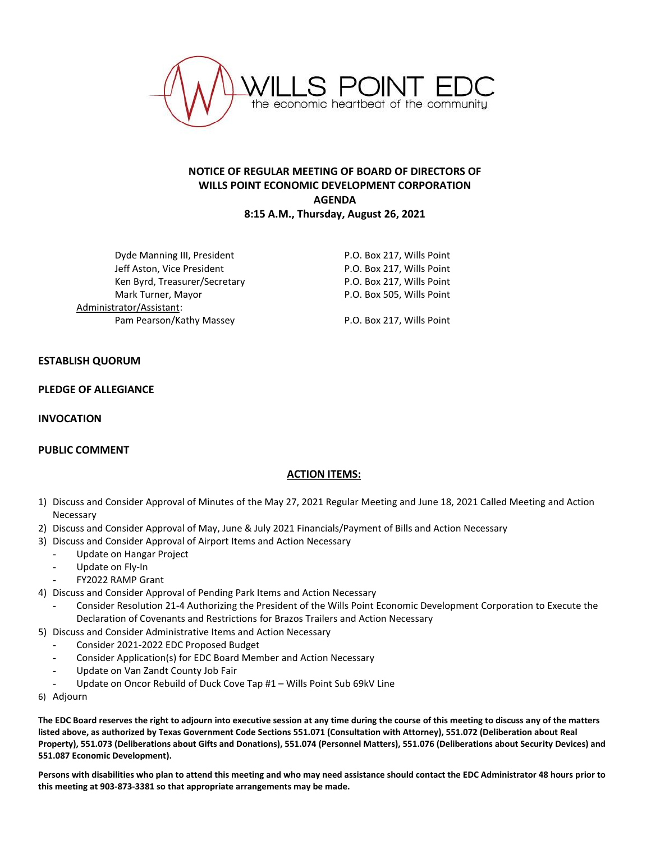

# **NOTICE OF REGULAR MEETING OF BOARD OF DIRECTORS OF WILLS POINT ECONOMIC DEVELOPMENT CORPORATION AGENDA 8:15 A.M., Thursday, August 26, 2021**

Dyde Manning III, President **P.O. Box 217, Wills Point** Jeff Aston, Vice President **P.O. Box 217, Wills Point** Ken Byrd, Treasurer/Secretary The Manuscreen P.O. Box 217, Wills Point Mark Turner, Mayor National Communication of P.O. Box 505, Wills Point Administrator/Assistant: Pam Pearson/Kathy Massey P.O. Box 217, Wills Point

## **ESTABLISH QUORUM**

#### **PLEDGE OF ALLEGIANCE**

### **INVOCATION**

## **PUBLIC COMMENT**

## **ACTION ITEMS:**

- 1) Discuss and Consider Approval of Minutes of the May 27, 2021 Regular Meeting and June 18, 2021 Called Meeting and Action Necessary
- 2) Discuss and Consider Approval of May, June & July 2021 Financials/Payment of Bills and Action Necessary
- 3) Discuss and Consider Approval of Airport Items and Action Necessary
	- Update on Hangar Project
		- Update on Fly-In
	- FY2022 RAMP Grant
- 4) Discuss and Consider Approval of Pending Park Items and Action Necessary
	- Consider Resolution 21-4 Authorizing the President of the Wills Point Economic Development Corporation to Execute the Declaration of Covenants and Restrictions for Brazos Trailers and Action Necessary
- 5) Discuss and Consider Administrative Items and Action Necessary
	- Consider 2021-2022 EDC Proposed Budget
	- Consider Application(s) for EDC Board Member and Action Necessary
	- Update on Van Zandt County Job Fair
	- Update on Oncor Rebuild of Duck Cove Tap #1 Wills Point Sub 69kV Line
- 6) Adjourn

**The EDC Board reserves the right to adjourn into executive session at any time during the course of this meeting to discuss any of the matters listed above, as authorized by Texas Government Code Sections 551.071 (Consultation with Attorney), 551.072 (Deliberation about Real Property), 551.073 (Deliberations about Gifts and Donations), 551.074 (Personnel Matters), 551.076 (Deliberations about Security Devices) and 551.087 Economic Development).**

**Persons with disabilities who plan to attend this meeting and who may need assistance should contact the EDC Administrator 48 hours prior to this meeting at 903-873-3381 so that appropriate arrangements may be made.**